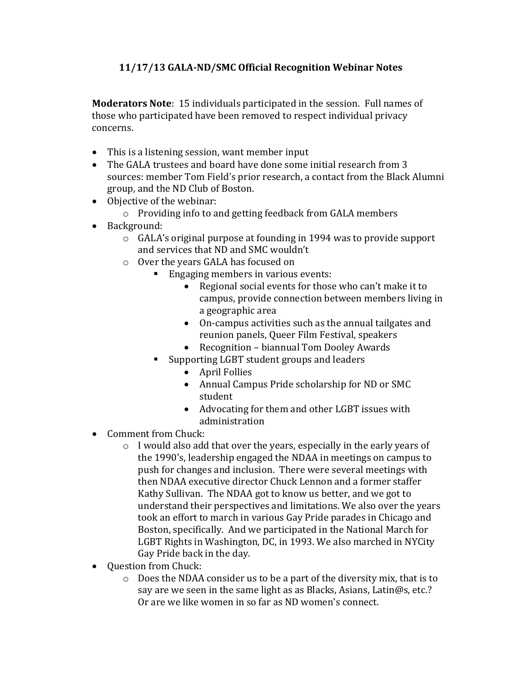## **11/17/13 GALA-ND/SMC Official Recognition Webinar Notes**

**Moderators Note**: 15 individuals participated in the session. Full names of those who participated have been removed to respect individual privacy concerns.

- This is a listening session, want member input
- The GALA trustees and board have done some initial research from 3 sources: member Tom Field's prior research, a contact from the Black Alumni group, and the ND Club of Boston.
- Objective of the webinar:
	- o Providing info to and getting feedback from GALA members
- Background:
	- o GALA's original purpose at founding in 1994 was to provide support and services that ND and SMC wouldn't
	- o Over the years GALA has focused on
		- **Engaging members in various events:** 
			- Regional social events for those who can't make it to campus, provide connection between members living in a geographic area
			- On-campus activities such as the annual tailgates and reunion panels, Queer Film Festival, speakers
			- Recognition biannual Tom Dooley Awards
		- Supporting LGBT student groups and leaders
			- April Follies
			- Annual Campus Pride scholarship for ND or SMC student
			- Advocating for them and other LGBT issues with administration
- Comment from Chuck:
	- o I would also add that over the years, especially in the early years of the 1990's, leadership engaged the NDAA in meetings on campus to push for changes and inclusion. There were several meetings with then NDAA executive director Chuck Lennon and a former staffer Kathy Sullivan. The NDAA got to know us better, and we got to understand their perspectives and limitations. We also over the years took an effort to march in various Gay Pride parades in Chicago and Boston, specifically. And we participated in the National March for LGBT Rights in Washington, DC, in 1993. We also marched in NYCity Gay Pride back in the day.
- Question from Chuck:
	- o Does the NDAA consider us to be a part of the diversity mix, that is to say are we seen in the same light as as Blacks, Asians, Latin@s, etc.? Or are we like women in so far as ND women's connect.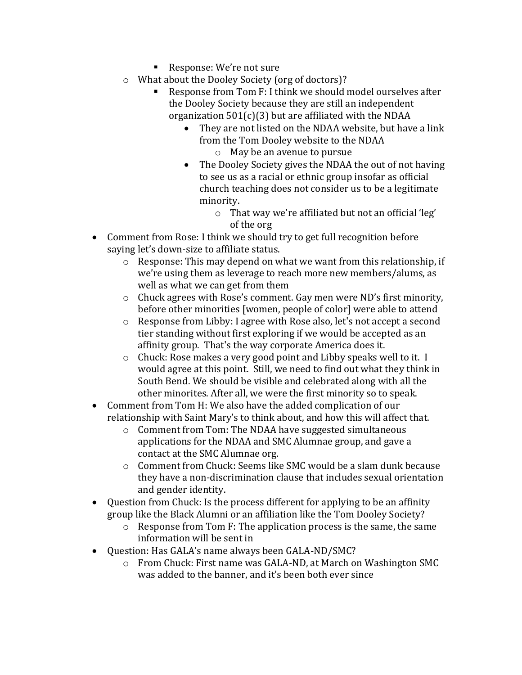- Response: We're not sure
- o What about the Dooley Society (org of doctors)?
	- Response from Tom F: I think we should model ourselves after the Dooley Society because they are still an independent organization  $501(c)(3)$  but are affiliated with the NDAA
		- They are not listed on the NDAA website, but have a link from the Tom Dooley website to the NDAA o May be an avenue to pursue
		- The Dooley Society gives the NDAA the out of not having to see us as a racial or ethnic group insofar as official church teaching does not consider us to be a legitimate minority.
			- o That way we're affiliated but not an official 'leg' of the org
- Comment from Rose: I think we should try to get full recognition before saying let's down-size to affiliate status.
	- o Response: This may depend on what we want from this relationship, if we're using them as leverage to reach more new members/alums, as well as what we can get from them
	- o Chuck agrees with Rose's comment. Gay men were ND's first minority, before other minorities [women, people of color] were able to attend
	- o Response from Libby: I agree with Rose also, let's not accept a second tier standing without first exploring if we would be accepted as an affinity group. That's the way corporate America does it.
	- o Chuck: Rose makes a very good point and Libby speaks well to it. I would agree at this point. Still, we need to find out what they think in South Bend. We should be visible and celebrated along with all the other minorites. After all, we were the first minority so to speak.
- Comment from Tom H: We also have the added complication of our relationship with Saint Mary's to think about, and how this will affect that.
	- o Comment from Tom: The NDAA have suggested simultaneous applications for the NDAA and SMC Alumnae group, and gave a contact at the SMC Alumnae org.
	- o Comment from Chuck: Seems like SMC would be a slam dunk because they have a non-discrimination clause that includes sexual orientation and gender identity.
- Question from Chuck: Is the process different for applying to be an affinity group like the Black Alumni or an affiliation like the Tom Dooley Society?
	- o Response from Tom F: The application process is the same, the same information will be sent in
- Question: Has GALA's name always been GALA-ND/SMC?
	- o From Chuck: First name was GALA-ND, at March on Washington SMC was added to the banner, and it's been both ever since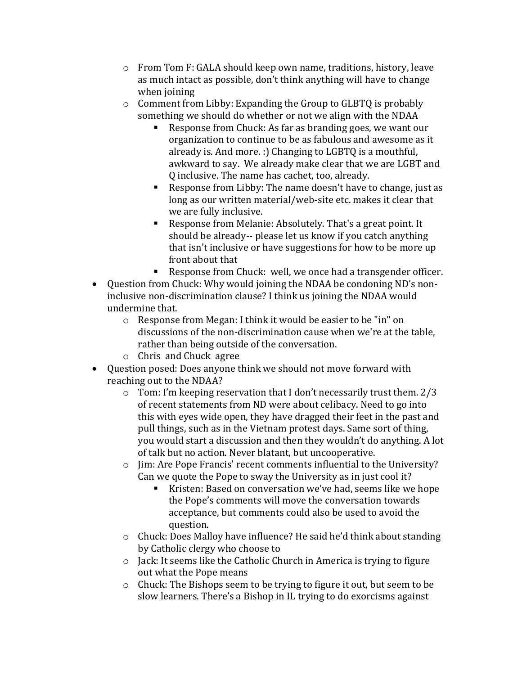- o From Tom F: GALA should keep own name, traditions, history, leave as much intact as possible, don't think anything will have to change when joining
- o Comment from Libby: Expanding the Group to GLBTQ is probably something we should do whether or not we align with the NDAA
	- Response from Chuck: As far as branding goes, we want our organization to continue to be as fabulous and awesome as it already is. And more. :) Changing to LGBTQ is a mouthful, awkward to say. We already make clear that we are LGBT and Q inclusive. The name has cachet, too, already.
	- Response from Libby: The name doesn't have to change, just as long as our written material/web-site etc. makes it clear that we are fully inclusive.
	- Response from Melanie: Absolutely. That's a great point. It should be already-- please let us know if you catch anything that isn't inclusive or have suggestions for how to be more up front about that
	- Response from Chuck: well, we once had a transgender officer.
- Question from Chuck: Why would joining the NDAA be condoning ND's noninclusive non-discrimination clause? I think us joining the NDAA would undermine that.
	- o Response from Megan: I think it would be easier to be "in" on discussions of the non-discrimination cause when we're at the table, rather than being outside of the conversation.
	- o Chris and Chuck agree
- Question posed: Does anyone think we should not move forward with reaching out to the NDAA?
	- o Tom: I'm keeping reservation that I don't necessarily trust them. 2/3 of recent statements from ND were about celibacy. Need to go into this with eyes wide open, they have dragged their feet in the past and pull things, such as in the Vietnam protest days. Same sort of thing, you would start a discussion and then they wouldn't do anything. A lot of talk but no action. Never blatant, but uncooperative.
	- o Jim: Are Pope Francis' recent comments influential to the University? Can we quote the Pope to sway the University as in just cool it?
		- Kristen: Based on conversation we've had, seems like we hope the Pope's comments will move the conversation towards acceptance, but comments could also be used to avoid the question.
	- o Chuck: Does Malloy have influence? He said he'd think about standing by Catholic clergy who choose to
	- o Jack: It seems like the Catholic Church in America is trying to figure out what the Pope means
	- o Chuck: The Bishops seem to be trying to figure it out, but seem to be slow learners. There's a Bishop in IL trying to do exorcisms against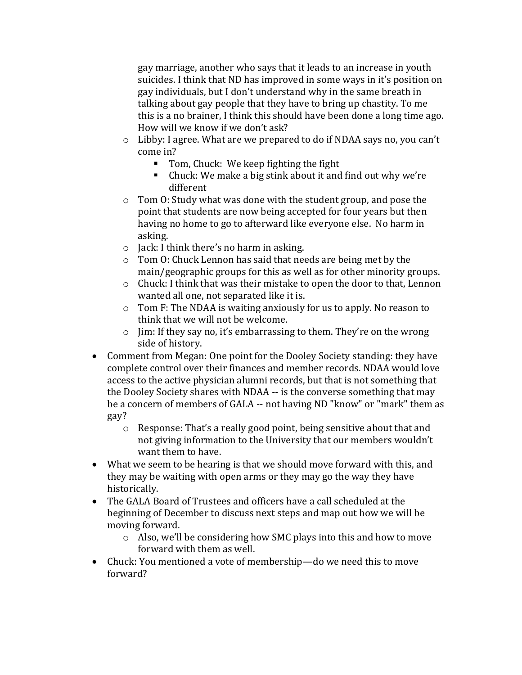gay marriage, another who says that it leads to an increase in youth suicides. I think that ND has improved in some ways in it's position on gay individuals, but I don't understand why in the same breath in talking about gay people that they have to bring up chastity. To me this is a no brainer, I think this should have been done a long time ago. How will we know if we don't ask?

- o Libby: I agree. What are we prepared to do if NDAA says no, you can't come in?
	- **Tom, Chuck: We keep fighting the fight**
	- Chuck: We make a big stink about it and find out why we're different
- o Tom O: Study what was done with the student group, and pose the point that students are now being accepted for four years but then having no home to go to afterward like everyone else. No harm in asking.
- o Jack: I think there's no harm in asking.
- o Tom O: Chuck Lennon has said that needs are being met by the main/geographic groups for this as well as for other minority groups.
- o Chuck: I think that was their mistake to open the door to that, Lennon wanted all one, not separated like it is.
- o Tom F: The NDAA is waiting anxiously for us to apply. No reason to think that we will not be welcome.
- o Jim: If they say no, it's embarrassing to them. They're on the wrong side of history.
- Comment from Megan: One point for the Dooley Society standing: they have complete control over their finances and member records. NDAA would love access to the active physician alumni records, but that is not something that the Dooley Society shares with NDAA -- is the converse something that may be a concern of members of GALA -- not having ND "know" or "mark" them as gay?
	- o Response: That's a really good point, being sensitive about that and not giving information to the University that our members wouldn't want them to have.
- What we seem to be hearing is that we should move forward with this, and they may be waiting with open arms or they may go the way they have historically.
- The GALA Board of Trustees and officers have a call scheduled at the beginning of December to discuss next steps and map out how we will be moving forward.
	- o Also, we'll be considering how SMC plays into this and how to move forward with them as well.
- Chuck: You mentioned a vote of membership—do we need this to move forward?